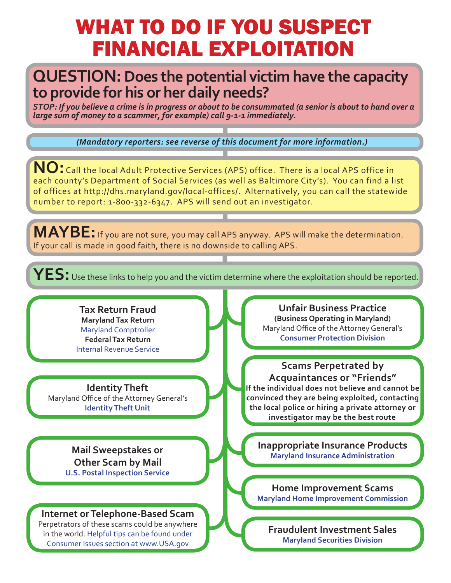## WHAT TO DO IF YOU SUSPECT FINANCIAL EXPLOITATION

#### **QUESTION: Does the potential victim have the capacity to provide for his or her daily needs?**

*STOP: If you believe a crime is in progress or about to be consummated (a senior is about to hand over a large sum of money to a scammer, for example) call 9-1-1 immediately.*

*(Mandatory reporters: see reverse of this document for more information.)*

**NO:** Call the local Adult Protective Services (APS) office. There is a local APS office in each county's Department of Social Services (as well as Baltimore City's). You can find a list of offices at http://dhs.maryland.gov/local-offices/. Alternatively, you can call the statewide number to report: 1-800-332-6347. APS will send out an investigator.

**MAYBE:** If you are not sure, you may call APS anyway. APS will make the determination. If your call is made in good faith, there is no downside to calling APS.

**YES:** Use these links to help you and the victim determine where the exploitation should be reported.

**Tax Return Fraud Maryland Tax Return** Maryland Comptroller **Federal Tax Return** Internal Revenue Service

**Identity Theft** Maryland Office of the Attorney General's **Identity Theft Unit**

> **Mail Sweepstakes or Other Scam by Mail U.S. Postal Inspection Service**

**Internet or Telephone-Based Scam**

Perpetrators of these scams could be anywhere in the world. Helpful tips can be found under Consumer Issues section at www.USA.gov

**Unfair Business Practice (Business Operating in Maryland)** Maryland Office of the Attorney General's **Consumer Protection Division**

**Scams Perpetrated by Acquaintances or "Friends" If the individual does not believe and cannot be convinced they are being exploited, contacting the local police or hiring a private attorney or investigator may be the best route**

**Inappropriate Insurance Products Maryland Insurance Administration**

**Home Improvement Scams Maryland Home Improvement Commission**

**Fraudulent Investment Sales Maryland Securities Division**